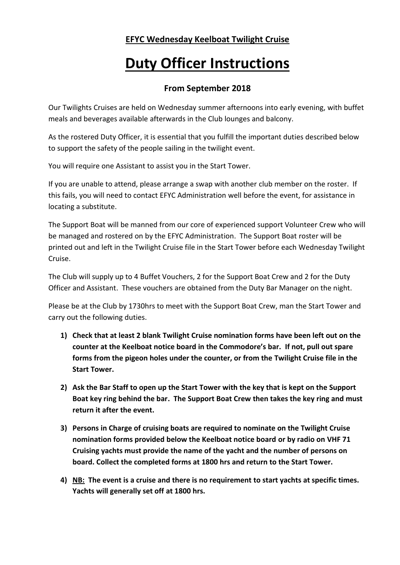## **EFYC Wednesday Keelboat Twilight Cruise**

## **Duty Officer Instructions**

## **From September 2018**

Our Twilights Cruises are held on Wednesday summer afternoons into early evening, with buffet meals and beverages available afterwards in the Club lounges and balcony.

As the rostered Duty Officer, it is essential that you fulfill the important duties described below to support the safety of the people sailing in the twilight event.

You will require one Assistant to assist you in the Start Tower.

If you are unable to attend, please arrange a swap with another club member on the roster. If this fails, you will need to contact EFYC Administration well before the event, for assistance in locating a substitute.

The Support Boat will be manned from our core of experienced support Volunteer Crew who will be managed and rostered on by the EFYC Administration. The Support Boat roster will be printed out and left in the Twilight Cruise file in the Start Tower before each Wednesday Twilight Cruise.

The Club will supply up to 4 Buffet Vouchers, 2 for the Support Boat Crew and 2 for the Duty Officer and Assistant. These vouchers are obtained from the Duty Bar Manager on the night.

Please be at the Club by 1730hrs to meet with the Support Boat Crew, man the Start Tower and carry out the following duties.

- **1) Check that at least 2 blank Twilight Cruise nomination forms have been left out on the counter at the Keelboat notice board in the Commodore's bar. If not, pull out spare forms from the pigeon holes under the counter, or from the Twilight Cruise file in the Start Tower.**
- **2) Ask the Bar Staff to open up the Start Tower with the key that is kept on the Support Boat key ring behind the bar. The Support Boat Crew then takes the key ring and must return it after the event.**
- **3) Persons in Charge of cruising boats are required to nominate on the Twilight Cruise nomination forms provided below the Keelboat notice board or by radio on VHF 71 Cruising yachts must provide the name of the yacht and the number of persons on board. Collect the completed forms at 1800 hrs and return to the Start Tower.**
- **4) NB: The event is a cruise and there is no requirement to start yachts at specific times. Yachts will generally set off at 1800 hrs.**